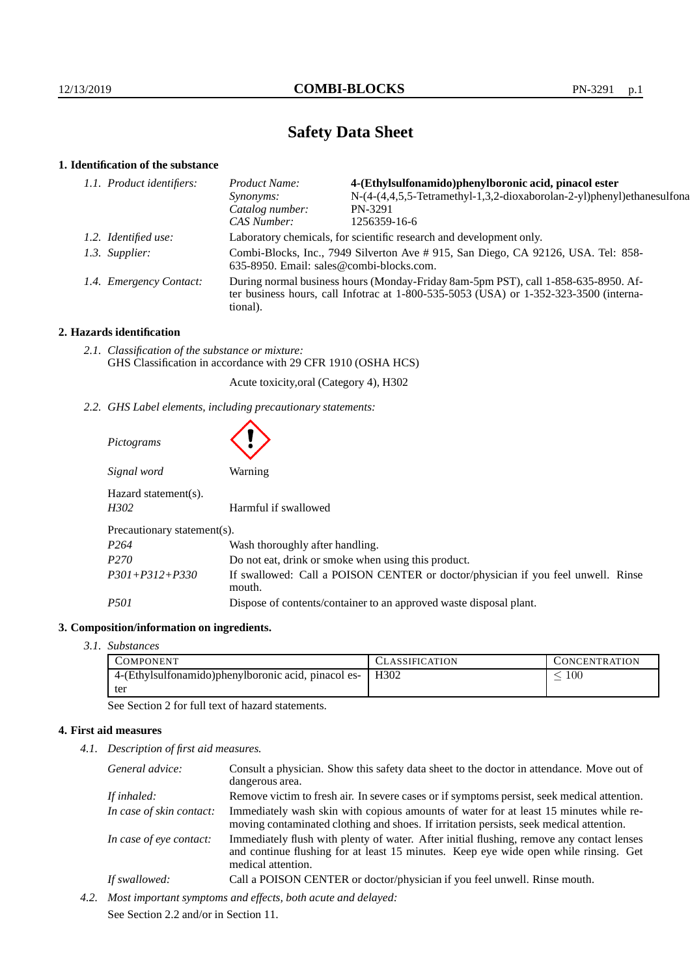# **Safety Data Sheet**

# **1. Identification of the substance**

| 1.1. Product identifiers: | <i>Product Name:</i>                                                                                                                                                                        | 4-(Ethylsulfonamido)phenylboronic acid, pinacol ester                  |
|---------------------------|---------------------------------------------------------------------------------------------------------------------------------------------------------------------------------------------|------------------------------------------------------------------------|
|                           | <i>Synonyms:</i>                                                                                                                                                                            | N-(4-(4,4,5,5-Tetramethyl-1,3,2-dioxaborolan-2-yl)phenyl)ethanesulfona |
|                           | Catalog number:                                                                                                                                                                             | PN-3291                                                                |
|                           | CAS Number:                                                                                                                                                                                 | 1256359-16-6                                                           |
| 1.2. Identified use:      | Laboratory chemicals, for scientific research and development only.                                                                                                                         |                                                                        |
| 1.3. Supplier:            | Combi-Blocks, Inc., 7949 Silverton Ave # 915, San Diego, CA 92126, USA. Tel: 858-<br>635-8950. Email: sales@combi-blocks.com.                                                               |                                                                        |
| 1.4. Emergency Contact:   | During normal business hours (Monday-Friday 8am-5pm PST), call 1-858-635-8950. Af-<br>ter business hours, call Infotrac at $1-800-535-5053$ (USA) or $1-352-323-3500$ (interna-<br>tional). |                                                                        |
|                           |                                                                                                                                                                                             |                                                                        |

# **2. Hazards identification**

*2.1. Classification of the substance or mixture:* GHS Classification in accordance with 29 CFR 1910 (OSHA HCS)

Acute toxicity,oral (Category 4), H302

*2.2. GHS Label elements, including precautionary statements:*

| Pictograms                   |                                                                                            |  |  |  |
|------------------------------|--------------------------------------------------------------------------------------------|--|--|--|
| Signal word                  | Warning                                                                                    |  |  |  |
| Hazard statement(s).<br>H302 | Harmful if swallowed                                                                       |  |  |  |
| Precautionary statement(s).  |                                                                                            |  |  |  |
| P <sub>264</sub>             | Wash thoroughly after handling.                                                            |  |  |  |
| P <sub>270</sub>             | Do not eat, drink or smoke when using this product.                                        |  |  |  |
| $P301 + P312 + P330$         | If swallowed: Call a POISON CENTER or doctor/physician if you feel unwell. Rinse<br>mouth. |  |  |  |
| <i>P501</i>                  | Dispose of contents/container to an approved waste disposal plant.                         |  |  |  |

# **3. Composition/information on ingredients.**

*3.1. Substances*

| <b>COMPONENT</b>                                     | <b>CLASSIFICATION</b> | CONCENTRATION |
|------------------------------------------------------|-----------------------|---------------|
| 4-(Ethylsulfonamido) phenylboronic acid, pinacol es- | H302                  | 100           |
| ter                                                  |                       |               |

See Section 2 for full text of hazard statements.

# **4. First aid measures**

*4.1. Description of first aid measures.*

|                                               | General advice:                                              | Consult a physician. Show this safety data sheet to the doctor in attendance. Move out of<br>dangerous area.                                                                      |
|-----------------------------------------------|--------------------------------------------------------------|-----------------------------------------------------------------------------------------------------------------------------------------------------------------------------------|
|                                               | If inhaled:                                                  | Remove victim to fresh air. In severe cases or if symptoms persist, seek medical attention.                                                                                       |
|                                               | In case of skin contact:                                     | Immediately wash skin with copious amounts of water for at least 15 minutes while re-<br>moving contaminated clothing and shoes. If irritation persists, seek medical attention.  |
| In case of eye contact:<br>medical attention. |                                                              | Immediately flush with plenty of water. After initial flushing, remove any contact lenses<br>and continue flushing for at least 15 minutes. Keep eye wide open while rinsing. Get |
|                                               | If swallowed:                                                | Call a POISON CENTER or doctor/physician if you feel unwell. Rinse mouth.                                                                                                         |
| 4.2.                                          | Most important symptoms and effects, both acute and delayed: |                                                                                                                                                                                   |

See Section 2.2 and/or in Section 11.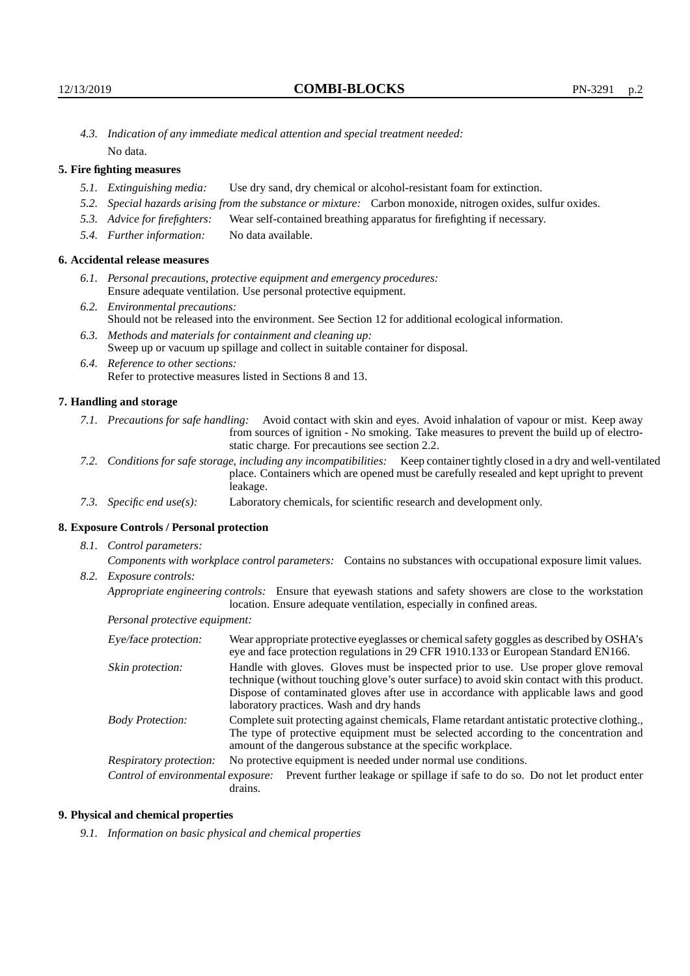*4.3. Indication of any immediate medical attention and special treatment needed:* No data.

# **5. Fire fighting measures**

- *5.1. Extinguishing media:* Use dry sand, dry chemical or alcohol-resistant foam for extinction.
- *5.2. Special hazards arising from the substance or mixture:* Carbon monoxide, nitrogen oxides, sulfur oxides.
- *5.3. Advice for firefighters:* Wear self-contained breathing apparatus for firefighting if necessary.
- *5.4. Further information:* No data available.

# **6. Accidental release measures**

- *6.1. Personal precautions, protective equipment and emergency procedures:* Ensure adequate ventilation. Use personal protective equipment.
- *6.2. Environmental precautions:* Should not be released into the environment. See Section 12 for additional ecological information.
- *6.3. Methods and materials for containment and cleaning up:* Sweep up or vacuum up spillage and collect in suitable container for disposal.
- *6.4. Reference to other sections:* Refer to protective measures listed in Sections 8 and 13.

#### **7. Handling and storage**

- *7.1. Precautions for safe handling:* Avoid contact with skin and eyes. Avoid inhalation of vapour or mist. Keep away from sources of ignition - No smoking. Take measures to prevent the build up of electrostatic charge. For precautions see section 2.2.
- *7.2. Conditions for safe storage, including any incompatibilities:* Keep container tightly closed in a dry and well-ventilated place. Containers which are opened must be carefully resealed and kept upright to prevent leakage.
- *7.3. Specific end use(s):* Laboratory chemicals, for scientific research and development only.

#### **8. Exposure Controls / Personal protection**

*8.1. Control parameters:*

*Components with workplace control parameters:* Contains no substances with occupational exposure limit values. *8.2. Exposure controls:*

*Appropriate engineering controls:* Ensure that eyewash stations and safety showers are close to the workstation location. Ensure adequate ventilation, especially in confined areas.

*Personal protective equipment:*

| Eye/face protection:    | Wear appropriate protective eyeglasses or chemical safety goggles as described by OSHA's<br>eye and face protection regulations in 29 CFR 1910.133 or European Standard EN166.                                                                                                                                         |  |  |
|-------------------------|------------------------------------------------------------------------------------------------------------------------------------------------------------------------------------------------------------------------------------------------------------------------------------------------------------------------|--|--|
| Skin protection:        | Handle with gloves. Gloves must be inspected prior to use. Use proper glove removal<br>technique (without touching glove's outer surface) to avoid skin contact with this product.<br>Dispose of contaminated gloves after use in accordance with applicable laws and good<br>laboratory practices. Wash and dry hands |  |  |
| <b>Body Protection:</b> | Complete suit protecting against chemicals, Flame retardant antistatic protective clothing.<br>The type of protective equipment must be selected according to the concentration and<br>amount of the dangerous substance at the specific workplace.                                                                    |  |  |
| Respiratory protection: | No protective equipment is needed under normal use conditions.                                                                                                                                                                                                                                                         |  |  |
|                         | Control of environmental exposure: Prevent further leakage or spillage if safe to do so. Do not let product enter<br>drains.                                                                                                                                                                                           |  |  |

#### **9. Physical and chemical properties**

*9.1. Information on basic physical and chemical properties*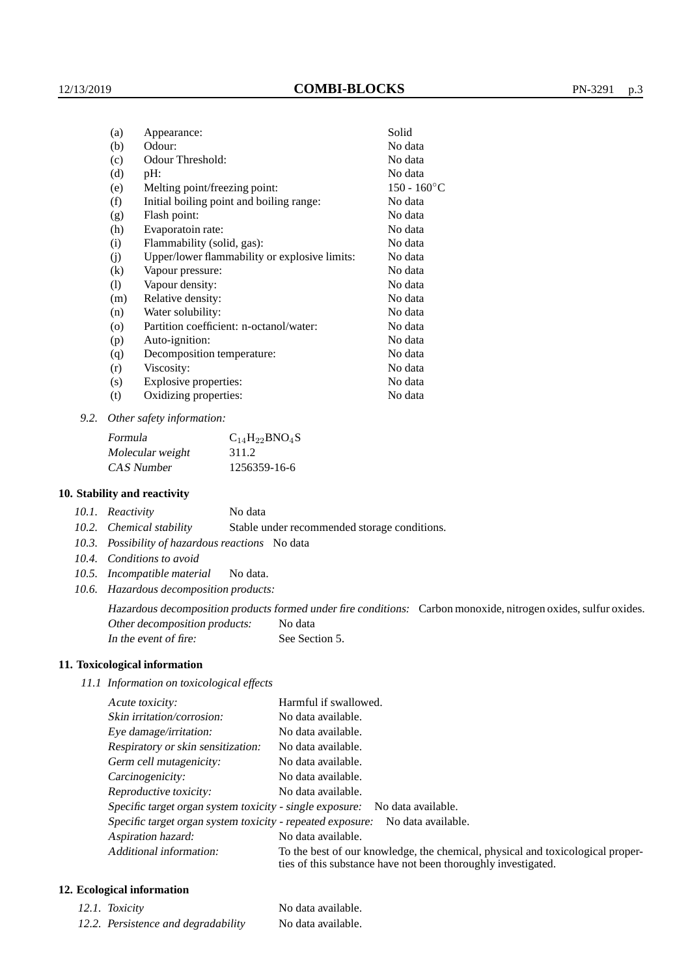| (a)                        | Appearance:                                   | Solid          |
|----------------------------|-----------------------------------------------|----------------|
| (b)                        | Odour:                                        | No data        |
| (c)                        | Odour Threshold:                              | No data        |
| (d)                        | pH:                                           | No data        |
| (e)                        | Melting point/freezing point:                 | $150 - 160$ °C |
| (f)                        | Initial boiling point and boiling range:      | No data        |
| (g)                        | Flash point:                                  | No data        |
| (h)                        | Evaporatoin rate:                             | No data        |
| (i)                        | Flammability (solid, gas):                    | No data        |
| (j)                        | Upper/lower flammability or explosive limits: | No data        |
| $\rm(k)$                   | Vapour pressure:                              | No data        |
| $\left( \mathrm{l}\right)$ | Vapour density:                               | No data        |
| (m)                        | Relative density:                             | No data        |
| (n)                        | Water solubility:                             | No data        |
| (0)                        | Partition coefficient: n-octanol/water:       | No data        |
| (p)                        | Auto-ignition:                                | No data        |
| (q)                        | Decomposition temperature:                    | No data        |
| (r)                        | Viscosity:                                    | No data        |
| (s)                        | Explosive properties:                         | No data        |
| (t)                        | Oxidizing properties:                         | No data        |
|                            |                                               |                |

*9.2. Other safety information:*

| Formula          | $C_{14}H_{22}BNO_4S$ |
|------------------|----------------------|
| Molecular weight | 311.2                |
| CAS Number       | 1256359-16-6         |

#### **10. Stability and reactivity**

| 10.1. Reactivity | No data |
|------------------|---------|
|                  |         |

*10.2. Chemical stability* Stable under recommended storage conditions.

- *10.3. Possibility of hazardous reactions* No data
- *10.4. Conditions to avoid*
- *10.5. Incompatible material* No data.
- *10.6. Hazardous decomposition products:*

Hazardous decomposition products formed under fire conditions: Carbon monoxide, nitrogen oxides, sulfur oxides. Other decomposition products: No data In the event of fire: See Section 5.

## **11. Toxicological information**

*11.1 Information on toxicological effects*

| Acute toxicity:                                            | Harmful if swallowed.                                                                                                                           |
|------------------------------------------------------------|-------------------------------------------------------------------------------------------------------------------------------------------------|
| Skin irritation/corrosion:                                 | No data available.                                                                                                                              |
| Eye damage/irritation:                                     | No data available.                                                                                                                              |
| Respiratory or skin sensitization:                         | No data available.                                                                                                                              |
| Germ cell mutagenicity:                                    | No data available.                                                                                                                              |
| Carcinogenicity:                                           | No data available.                                                                                                                              |
| Reproductive toxicity:                                     | No data available.                                                                                                                              |
|                                                            | Specific target organ system toxicity - single exposure: No data available.                                                                     |
| Specific target organ system toxicity - repeated exposure: | No data available.                                                                                                                              |
| Aspiration hazard:                                         | No data available.                                                                                                                              |
| Additional information:                                    | To the best of our knowledge, the chemical, physical and toxicological proper-<br>ties of this substance have not been thoroughly investigated. |

# **12. Ecological information**

| 12.1. Toxicity                      | No data available. |
|-------------------------------------|--------------------|
| 12.2. Persistence and degradability | No data available. |